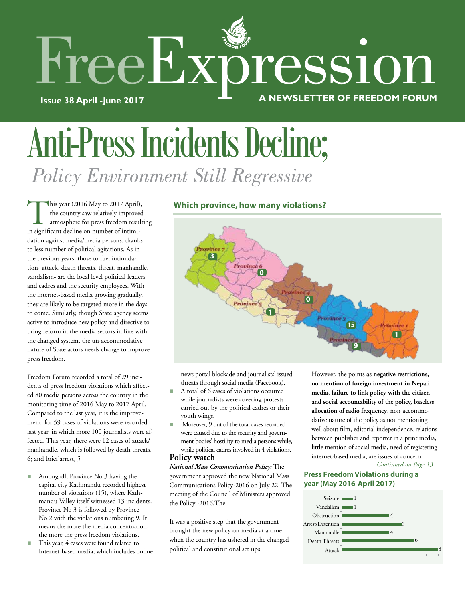

# Anti-Press Incidents Decline;  *Policy Environment Still Regressive*

This year (2016 May to 2017 April), the country saw relatively improved atmosphere for press freedom resulting in significant decline on number of intimidation against media/media persons, thanks to less number of political agitations. As in the previous years, those to fuel intimidation- attack, death threats, threat, manhandle, vandalism- are the local level political leaders and cadres and the security employees. With the internet-based media growing gradually, they are likely to be targeted more in the days to come. Similarly, though State agency seems active to introduce new policy and directive to bring reform in the media sectors in line with the changed system, the un-accommodative nature of State actors needs change to improve press freedom.

Freedom Forum recorded a total of 29 incidents of press freedom violations which affected 80 media persons across the country in the monitoring time of 2016 May to 2017 April. Compared to the last year, it is the improvement, for 59 cases of violations were recorded last year, in which more 100 journalists were affected. This year, there were 12 cases of attack/ manhandle, which is followed by death threats, 6; and brief arrest, 5

- Among all, Province No 3 having the capital city Kathmandu recorded highest number of violations (15), where Kathmandu Valley itself witnessed 13 incidents. Province No 3 is followed by Province No 2 with the violations numbering 9. It means the more the media concentration, the more the press freedom violations.
- This year, 4 cases were found related to Internet-based media, which includes online

### **Which province, how many violations?**



news portal blockade and journalists' issued threats through social media (Facebook).

- A total of 6 cases of violations occurred while journalists were covering protests carried out by the political cadres or their youth wings.
- Moreover, 9 out of the total cases recorded were caused due to the security and government bodies' hostility to media persons while, while political cadres involved in 4 violations. **Policy watch**

### *National Mass Communication Policy:* The government approved the new National Mass Communications Policy-2016 on July 22. The meeting of the Council of Ministers approved the Policy -2016.The

It was a positive step that the government brought the new policy on media at a time when the country has ushered in the changed political and constitutional set ups.

However, the points **as negative restrictions, no mention of foreign investment in Nepali media, failure to link policy with the citizen and social accountability of the policy, baseless allocation of radio frequency**, non-accommodative nature of the policy as not mentioning well about film, editorial independence, relations between publisher and reporter in a print media, little mention of social media, need of registering internet-based media, are issues of concern.

*Continued on Page 13*

### **Press Freedom Violations during a year (May 2016-April 2017)**

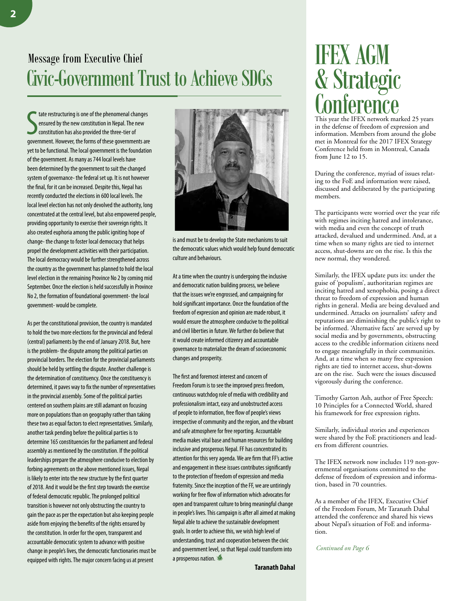### Message from Executive Chief Civic-Government Trust to Achieve SDGs

State restructuring is one of the phenomenal changes<br>
ensured by the new constitution in Nepal. The new<br>
constitution has also provided the three-tier of<br>
government. However, the forms of these governments are tate restructuring is one of the phenomenal changes ensured by the new constitution in Nepal. The new constitution has also provided the three-tier of yet to be functional. The local government is the foundation of the government. As many as 744 local levels have been determined by the government to suit the changed system of governance- the federal set up. It is not however the final, for it can be increased. Despite this, Nepal has recently conducted the elections in 600 local levels. The local level election has not only devolved the authority, long concentrated at the central level, but also empowered people, providing opportunity to exercise their sovereign rights. It also created euphoria among the public igniting hope of change- the change to foster local democracy that helps propel the development activities with their participation. The local democracy would be further strengthened across the country as the government has planned to hold the local level election in the remaining Province No 2 by coming mid September. Once the election is held successfully in Province No 2, the formation of foundational government- the local government- would be complete.

As per the constitutional provision, the country is mandated to hold the two more elections for the provincial and federal (central) parliaments by the end of January 2018. But, here is the problem- the dispute among the political parties on provincial borders. The election for the provincial parliaments should be held by settling the dispute. Another challenge is the determination of constituency. Once the constituency is determined, it paves way to fix the number of representatives in the provincial assembly. Some of the political parties centered on southern plains are still adamant on focusing more on populations than on geography rather than taking these two as equal factors to elect representatives. Similarly, another task pending before the political parties is to determine 165 constituencies for the parliament and federal assembly as mentioned by the constitution. If the political leaderships prepare the atmosphere conducive to election by forbing agreements on the above mentioned issues, Nepal is likely to enter into the new structure by the first quarter of 2018. And it would be the first step towards the exercise of federal democratic republic. The prolonged political transition is however not only obstructing the country to gain the pace as per the expectation but also keeping people aside from enjoying the benefits of the rights ensured by the constitution. In order for the open, transparent and accountable democratic system to advance with positive change in people's lives, the democratic functionaries must be equipped with rights. The major concern facing us at present



is and must be to develop the State mechanisms to suit the democratic values which would help found democratic culture and behaviours.

At a time when the country is undergoing the inclusive and democratic nation building process, we believe that the issues we're engrossed, and campaigning for hold significant importance. Once the foundation of the freedom of expression and opinion are made robust, it would ensure the atmosphere conducive to the political and civil liberties in future. We further do believe that it would create informed citizenry and accountable governance to materialize the dream of socioeconomic changes and prosperity.

The first and foremost interest and concern of Freedom Forum is to see the improved press freedom, continuous watchdog role of media with credibility and professionalism intact, easy and unobstructed access of people to information, free flow of people's views irrespective of community and the region, and the vibrant and safe atmosphere for free reporting. Accountable media makes vital base and human resources for building inclusive and prosperous Nepal. FF has concentrated its attention for this very agenda. We are firm that FF's active and engagement in these issues contributes significantly to the protection of freedom of expression and media fraternity. Since the inception of the FF, we are untiringly working for free flow of information which advocates for open and transparent culture to bring meaningful change in people's lives. This campaign is after all aimed at making Nepal able to achieve the sustainable development goals. In order to achieve this, we wish high level of understanding, trust and cooperation between the civic and government level, so that Nepal could transform into a prosperous nation.

## IFEX AGM & Strategic **Conference**

This year the IFEX network marked 25 years in the defense of freedom of expression and information. Members from around the globe met in Montreal for the 2017 IFEX Strategy Conference held from in Montreal, Canada from June 12 to 15.

During the conference, myriad of issues relating to the FoE and information were raised, discussed and deliberated by the participating members.

The participants were worried over the year rife with regimes inciting hatred and intolerance, with media and even the concept of truth attacked, devalued and undermined. And, at a time when so many rights are tied to internet access, shut-downs are on the rise. Is this the new normal, they wondered.

Similarly, the IFEX update puts its: under the guise of 'populism', authoritarian regimes are inciting hatred and xenophobia, posing a direct threat to freedom of expression and human rights in general. Media are being devalued and undermined. Attacks on journalists' safety and reputations are diminishing the public's right to be informed. 'Alternative facts' are served up by social media and by governments, obstructing access to the credible information citizens need to engage meaningfully in their communities. And, at a time when so many free expression rights are tied to internet access, shut-downs are on the rise. Such were the issues discussed vigorously during the conference.

Timothy Garton Ash, author of Free Speech: 10 Principles for a Connected World, shared his framework for free expression rights.

Similarly, individual stories and experiences were shared by the FoE practitioners and leaders from different countries.

The IFEX network now includes 119 non-governmental organisations committed to the defense of freedom of expression and information, based in 70 countries.

As a member of the IFEX, Executive Chief of the Freedom Forum, Mr Taranath Dahal attended the conference and shared his views about Nepal's situation of FoE and information.

*Continued on Page 6*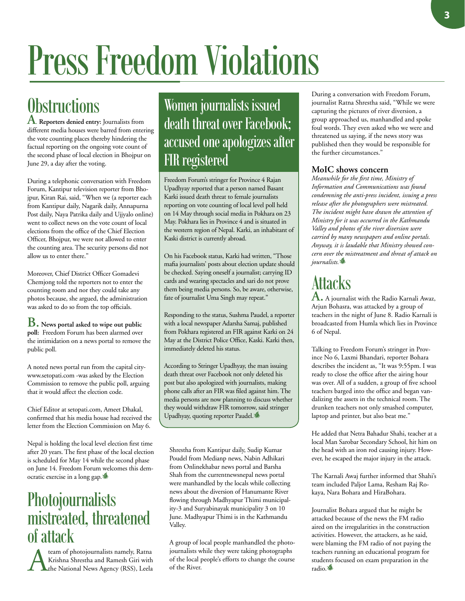# Press Freedom Violations

## **Obstructions**

**A**. **Reporters denied entry:** Journalists from different media houses were barred from entering the vote counting places thereby hindering the factual reporting on the ongoing vote count of the second phase of local election in Bhojpur on June 29, a day after the voting.

During a telephonic conversation with Freedom Forum, Kantipur television reporter from Bhojpur, Kiran Rai, said, "When we (a reporter each from Kantipur daily, Nagarik daily, Annapurna Post daily, Naya Patrika daily and Ujjyalo online) went to collect news on the vote count of local elections from the office of the Chief Election Officer, Bhojpur, we were not allowed to enter the counting area. The security persons did not allow us to enter there."

Moreover, Chief District Officer Gomadevi Chemjong told the reporters not to enter the counting room and nor they could take any photos because, she argued, the administration was asked to do so from the top officials.

**B. News portal asked to wipe out public poll:** Freedom Forum has been alarmed over the intimidation on a news portal to remove the public poll.

A noted news portal run from the capital citywww.setopati.com -was asked by the Election Commission to remove the public poll, arguing that it would affect the election code.

Chief Editor at setopati.com, Ameet Dhakal, confirmed that his media house had received the letter from the Election Commission on May 6.

Nepal is holding the local level election first time after 20 years. The first phase of the local election is scheduled for May 14 while the second phase on June 14. Freedom Forum welcomes this democratic exercise in a long gap.

### Photojournalists mistreated, threatened  $\int_{\mathbf{A}}^{\mathbf{f}} \text{atan of photojournalists namely, Ratna}$

**Alta Charlon State State State State State State State State State State State State State State State State State State State State State State State State State State State State State State State State State State Stat** Krishna Shrestha and Ramesh Giri with **L**the National News Agency (RSS), Leela

Women journalists issued death threat over Facebook; accused one apologizes after FIR registered

Freedom Forum's stringer for Province 4 Rajan Upadhyay reported that a person named Basant Karki issued death threat to female journalists reporting on vote counting of local level poll held on 14 May through social media in Pokhara on 23 May. Pokhara lies in Province 4 and is situated in the western region of Nepal. Karki, an inhabitant of Kaski district is currently abroad.

On his Facebook status, Karki had written, "Those mafia journalists' posts about election update should be checked. Saying oneself a journalist; carrying ID cards and wearing spectacles and sari do not prove them being media persons. So, be aware, otherwise, fate of journalist Uma Singh may repeat."

Responding to the status, Sushma Paudel, a reporter with a local newspaper Adarsha Samaj, published from Pokhara registered an FIR against Karki on 24 May at the District Police Office, Kaski. Karki then, immediately deleted his status.

According to Stringer Upadhyay, the man issuing death threat over Facebook not only deleted his post but also apologized with journalists, making phone calls after an FIR was filed against him. The media persons are now planning to discuss whether they would withdraw FIR tomorrow, said stringer Upadhyay, quoting reporter Paudel.

Shrestha from Kantipur daily, Sudip Kumar Poudel from Medianp news, Nabin Adhikari from Onlinekhabar news portal and Barsha Shah from the currentnewsnepal news portal were manhandled by the locals while collecting news about the diversion of Hanumante River flowing through Madhyapur Thimi municipality-3 and Suryabinayak municipality 3 on 10 June. Madhyapur Thimi is in the Kathmandu Valley.

A group of local people manhandled the photojournalists while they were taking photographs of the local people's efforts to change the course of the River.

During a conversation with Freedom Forum, journalist Ratna Shrestha said, "While we were capturing the pictures of river diversion, a group approached us, manhandled and spoke foul words. They even asked who we were and threatened us saying, if the news story was published then they would be responsible for the further circumstances."

### **MoIC shows concern**

*Meanwhile for the first time, Ministry of Information and Communications was found condemning the anti-press incident, issuing a press release after the photographers were mistreated. The incident might have drawn the attention of Ministry for it was occurred in the Kathmandu Valley and photos of the river diversion were carried by many newspapers and online portals. Anyway, it is laudable that Ministry showed concern over the mistreatment and threat of attack on journalists*.

## **Attacks**

**A.** A journalist with the Radio Karnali Awaz, Arjun Bohasra, was attacked by a group of teachers in the night of June 8. Radio Karnali is broadcasted from Humla which lies in Province 6 of Nepal.

Talking to Freedom Forum's stringer in Province No 6, Laxmi Bhandari, reporter Bohara describes the incident as, "It was 9:55pm. I was ready to close the office after the airing hour was over. All of a sudden, a group of five school teachers barged into the office and began vandalizing the assets in the technical room. The drunken teachers not only smashed computer, laptop and printer, but also beat me."

He added that Netra Bahadur Shahi, teacher at a local Man Sarobar Secondary School, hit him on the head with an iron rod causing injury. However, he escaped the major injury in the attack.

The Karnali Awaj further informed that Shahi's team included Paljor Lama, Resham Raj Rokaya, Nara Bohara and HiraBohara.

Journalist Bohara argued that he might be attacked because of the news the FM radio aired on the irregularities in the construction activities. However, the attackers, as he said, were blaming the FM radio of not paying the teachers running an educational program for students focused on exam preparation in the radio.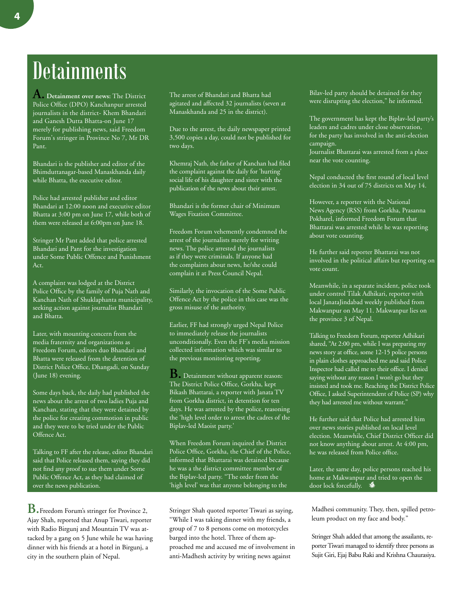## **Detainments**

**A. Detainment over news:** The District Police Office (DPO) Kanchanpur arrested journalists in the district- Khem Bhandari and Ganesh Dutta Bhatta-on June 17 merely for publishing news, said Freedom Forum's stringer in Province No 7, Mr DR Pant.

Bhandari is the publisher and editor of the Bhimduttanagar-based Manaskhanda daily while Bhatta, the executive editor.

Police had arrested publisher and editor Bhandari at 12:00 noon and executive editor Bhatta at 3:00 pm on June 17, while both of them were released at 6:00pm on June 18.

Stringer Mr Pant added that police arrested Bhandari and Pant for the investigation under Some Public Offence and Punishment Act.

A complaint was lodged at the District Police Office by the family of Puja Nath and Kanchan Nath of Shuklaphanta municipality, seeking action against journalist Bhandari and Bhatta.

Later, with mounting concern from the media fraternity and organizations as Freedom Forum, editors duo Bhandari and Bhatta were released from the detention of District Police Office, Dhangadi, on Sunday (June 18) evening.

Some days back, the daily had published the news about the arrest of two ladies Puja and Kanchan, stating that they were detained by the police for creating commotion in public and they were to be tried under the Public Offence Act.

Talking to FF after the release, editor Bhandari said that Police released them, saying they did not find any proof to sue them under Some Public Offence Act, as they had claimed of over the news publication.

**B.**Freedom Forum's stringer for Province 2, Ajay Shah, reported that Anup Tiwari, reporter with Radio Birgunj and Mountain TV was attacked by a gang on 5 June while he was having dinner with his friends at a hotel in Birgunj, a city in the southern plain of Nepal.

The arrest of Bhandari and Bhatta had agitated and affected 32 journalists (seven at Manaskhanda and 25 in the district).

Due to the arrest, the daily newspaper printed 3,500 copies a day, could not be published for two days.

Khemraj Nath, the father of Kanchan had filed the complaint against the daily for 'hurting' social life of his daughter and sister with the publication of the news about their arrest.

Bhandari is the former chair of Minimum Wages Fixation Committee.

Freedom Forum vehemently condemned the arrest of the journalists merely for writing news. The police arrested the journalists as if they were criminals. If anyone had the complaints about news, he/she could complain it at Press Council Nepal.

Similarly, the invocation of the Some Public Offence Act by the police in this case was the gross misuse of the authority.

Earlier, FF had strongly urged Nepal Police to immediately release the journalists unconditionally. Even the FF's media mission collected information which was similar to the previous monitoring reporting.

**B.** Detainment without apparent reason: The District Police Office, Gorkha, kept Bikash Bhattarai, a reporter with Janata TV from Gorkha district, in detention for ten days. He was arrested by the police, reasoning the 'high level order to arrest the cadres of the Biplav-led Maoist party.'

When Freedom Forum inquired the District Police Office, Gorkha, the Chief of the Police, informed that Bhattarai was detained because he was a the district committee member of the Biplav-led party. "The order from the 'high level' was that anyone belonging to the

Stringer Shah quoted reporter Tiwari as saying, "While I was taking dinner with my friends, a group of 7 to 8 persons come on motorcycles barged into the hotel. Three of them approached me and accused me of involvement in anti-Madhesh activity by writing news against

Bilav-led party should be detained for they were disrupting the election," he informed.

The government has kept the Biplav-led party's leaders and cadres under close observation, for the party has involved in the anti-election campaign. Journalist Bhattarai was arrested from a place

near the vote counting.

Nepal conducted the first round of local level election in 34 out of 75 districts on May 14.

However, a reporter with the National News Agency (RSS) from Gorkha, Prasanna Pokharel, informed Freedom Forum that Bhattarai was arrested while he was reporting about vote counting.

He further said reporter Bhattarai was not involved in the political affairs but reporting on vote count.

Meanwhile, in a separate incident, police took under control Tilak Adhikari, reporter with local JanataJindabad weekly published from Makwanpur on May 11. Makwanpur lies on the province 3 of Nepal.

Talking to Freedom Forum, reporter Adhikari shared, "At 2:00 pm, while I was preparing my news story at office, some 12-15 police persons in plain clothes approached me and said Police Inspector had called me to their office. I denied saying without any reason I won't go but they insisted and took me. Reaching the District Police Office, I asked Superintendent of Police (SP) why they had arrested me without warrant."

He further said that Police had arrested him over news stories published on local level election. Meanwhile, Chief District Officer did not know anything about arrest. At 4:00 pm, he was released from Police office.

Later, the same day, police persons reached his home at Makwanpur and tried to open the door lock forcefully.

Madhesi community. They, then, spilled petroleum product on my face and body."

Stringer Shah added that among the assailants, reporter Tiwari managed to identify three persons as Sujit Giri, Ejaj Babu Raki and Krishna Chaurasiya.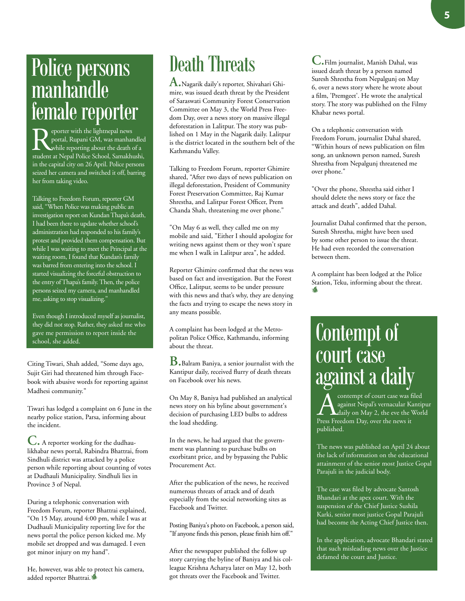## Police persons manhandle female reporter

eporter with the lightnepal news portal, Rupani GM, was manhandled while reporting about the death of a student at Nepal Police School, Samakhushi, in the capital city on 26 April. Police persons seized her camera and switched it off, barring her from taking video.

Talking to Freedom Forum, reporter GM said, "When Police was making public an investigation report on Kundan Thapa's death, I had been there to update whether school's administration had responded to his family's protest and provided them compensation. But while I was waiting to meet the Principal at the waiting room, I found that Kundan's family was barred from entering into the school. I started visualizing the forceful obstruction to the entry of Thapa's family. Then, the police persons seized my camera, and manhandled me, asking to stop visualizing."

Even though I introduced myself as journalist, they did not stop. Rather, they asked me who gave me permission to report inside the school, she added.

Citing Tiwari, Shah added, "Some days ago, Sujit Giri had threatened him through Facebook with abusive words for reporting against Madhesi community."

Tiwari has lodged a complaint on 6 June in the nearby police station, Parsa, informing about the incident.

**C.** A reporter working for the dudhaulikhabar news portal, Rabindra Bhattrai, from Sindhuli district was attacked by a police person while reporting about counting of votes at Dudhauli Municipality. Sindhuli lies in Province 3 of Nepal.

During a telephonic conversation with Freedom Forum, reporter Bhattrai explained, "On 15 May, around 4:00 pm, while I was at Dudhauli Municipality reporting live for the news portal the police person kicked me. My mobile set dropped and was damaged. I even got minor injury on my hand".

He, however, was able to protect his camera, added reporter Bhattrai.

### Death Threats

**A.**Nagarik daily's reporter, Shivahari Ghimire, was issued death threat by the President of Saraswati Community Forest Conservation Committee on May 3, the World Press Freedom Day, over a news story on massive illegal deforestation in Lalitpur. The story was published on 1 May in the Nagarik daily. Lalitpur is the district located in the southern belt of the Kathmandu Valley.

Talking to Freedom Forum, reporter Ghimire shared, "After two days of news publication on illegal deforestation, President of Community Forest Preservation Committee, Raj Kumar Shrestha, and Lalitpur Forest Officer, Prem Chanda Shah, threatening me over phone."

"On May 6 as well, they called me on my mobile and said, "Either I should apologize for writing news against them or they won't spare me when I walk in Lalitpur area", he added.

Reporter Ghimire confirmed that the news was based on fact and investigation. But the Forest Office, Lalitpur, seems to be under pressure with this news and that's why, they are denying the facts and trying to escape the news story in any means possible.

A complaint has been lodged at the Metropolitan Police Office, Kathmandu, informing about the threat.

**B.**Balram Baniya, a senior journalist with the Kantipur daily, received flurry of death threats on Facebook over his news.

On May 8, Baniya had published an analytical news story on his byline about government's decision of purchasing LED bulbs to address the load shedding.

In the news, he had argued that the government was planning to purchase bulbs on exorbitant price, and by bypassing the Public Procurement Act.

After the publication of the news, he received numerous threats of attack and of death especially from the social networking sites as Facebook and Twitter.

Posting Baniya's photo on Facebook, a person said, "If anyone finds this person, please finish him off."

After the newspaper published the follow up story carrying the byline of Baniya and his colleague Krishna Acharya later on May 12, both got threats over the Facebook and Twitter.

**C.**Film journalist, Manish Dahal, was issued death threat by a person named Suresh Shrestha from Nepalgunj on May 6, over a news story where he wrote about a film, 'Premgeet'. He wrote the analytical story. The story was published on the Filmy Khabar news portal.

On a telephonic conversation with Freedom Forum, journalist Dahal shared, "Within hours of news publication on film song, an unknown person named, Suresh Shrestha from Nepalgunj threatened me over phone."

"Over the phone, Shrestha said either I should delete the news story or face the attack and death", added Dahal.

Journalist Dahal confirmed that the person, Suresh Shrestha, might have been used by some other person to issue the threat. He had even recorded the conversation between them.

A complaint has been lodged at the Police Station, Teku, informing about the threat. <sup>F</sup>REED<sup>O</sup> <sup>M</sup> <sup>F</sup>OR<sup>U</sup> <sup>M</sup>

## Contempt of court case against a daily

**A** contempt of court case was filed<br>against Nepal's vernacular Kantipure<br>Press Freedom Day over the news it against Nepal's vernacular Kantipur Press Freedom Day, over the news it published.

The news was published on April 24 about the lack of information on the educational attainment of the senior most Justice Gopal Parajuli in the judicial body.

The case was filed by advocate Santosh Bhandari at the apex court. With the suspension of the Chief Justice Sushila Karki, senior most justice Gopal Parajuli had become the Acting Chief Justice then.

In the application, advocate Bhandari stated that such misleading news over the Justice defamed the court and Justice.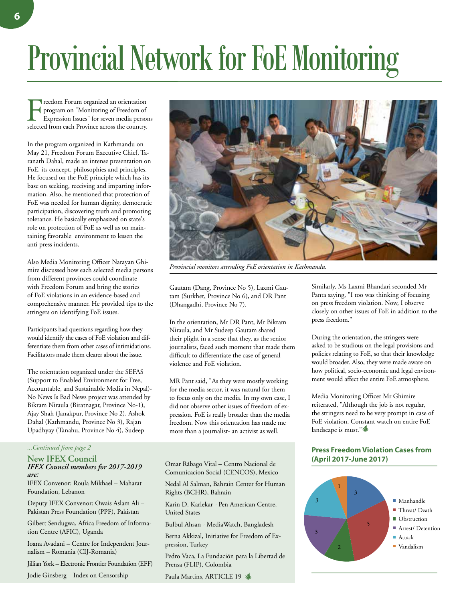# Provincial Network for FoE Monitoring

Freedom Forum organized an orientation<br>program on "Monitoring of Freedom of<br>Expression Issues" for seven media person<br>selected from each Province across the country. program on "Monitoring of Freedom of Expression Issues" for seven media persons selected from each Province across the country.

In the program organized in Kathmandu on May 21, Freedom Forum Executive Chief, Taranath Dahal, made an intense presentation on FoE, its concept, philosophies and principles. He focused on the FoE principle which has its base on seeking, receiving and imparting information. Also, he mentioned that protection of FoE was needed for human dignity, democratic participation, discovering truth and promoting tolerance. He basically emphasized on state's role on protection of FoE as well as on maintaining favorable environment to lessen the anti press incidents.

Also Media Monitoring Officer Narayan Ghimire discussed how each selected media persons from different provinces could coordinate with Freedom Forum and bring the stories of FoE violations in an evidence-based and comprehensive manner. He provided tips to the stringers on identifying FoE issues.

Participants had questions regarding how they would identify the cases of FoE violation and differentiate them from other cases of intimidations. Facilitators made them clearer about the issue.

The orientation organized under the SEFAS (Support to Enabled Environment for Free, Accountable, and Sustainable Media in Nepal)- No News Is Bad News project was attended by Bikram Niraula (Biratnagar, Province No-1), Ajay Shah (Janakpur, Province No 2), Ashok Dahal (Kathmandu, Province No 3), Rajan Upadhyay (Tanahu, Province No 4), Sudeep

#### **New IFEX Council**  *IFEX Council members for 2017-2019 are:*

IFEX Convenor: Roula Mikhael – Maharat Foundation, Lebanon

Deputy IFEX Convenor: Owais Aslam Ali – Pakistan Press Foundation (PPF), Pakistan

Gilbert Sendugwa, Africa Freedom of Information Centre (AFIC), Uganda

Ioana Avadani – Centre for Independent Journalism – Romania (CIJ-Romania)

Jillian York – Electronic Frontier Foundation (EFF)

Jodie Ginsberg – Index on Censorship



*Provincial monitors attending FoE orientation in Kathmandu.*

Gautam (Dang, Province No 5), Laxmi Gautam (Surkhet, Province No 6), and DR Pant (Dhangadhi, Province No 7).

In the orientation, Mr DR Pant, Mr Bikram Niraula, and Mr Sudeep Gautam shared their plight in a sense that they, as the senior journalists, faced such moment that made them difficult to differentiate the case of general violence and FoE violation.

MR Pant said, "As they were mostly working for the media sector, it was natural for them to focus only on the media. In my own case, I did not observe other issues of freedom of expression. FoE is really broader than the media freedom. Now this orientation has made me more than a journalist- an activist as well.

Omar Rábago Vital – Centro Nacional de Comunicacion Social (CENCOS), Mexico

Nedal Al Salman, Bahrain Center for Human Rights (BCHR), Bahrain

Karin D. Karlekar - Pen American Centre, United States

Bulbul Ahsan - MediaWatch, Bangladesh

Berna Akkizal, Initiative for Freedom of Expression, Turkey

Pedro Vaca, La Fundación para la Libertad de Prensa (FLIP), Colombia

Paula Martins, ARTICLE 19

Similarly, Ms Laxmi Bhandari seconded Mr Panta saying, "I too was thinking of focusing on press freedom violation. Now, I observe closely on other issues of FoE in addition to the press freedom."

During the orientation, the stringers were asked to be studious on the legal provisions and policies relating to FoE, so that their knowledge would broader. Also, they were made aware on how political, socio-economic and legal environment would affect the entire FoE atmosphere.

Media Monitoring Officer Mr Ghimire reiterated, "Although the job is not regular, the stringers need to be very prompt in case of FoE violation. Constant watch on entire FoE landscape is must."

### *...Continued from page 2* **Press Freedom Violation Cases from (April 2017-June 2017)**

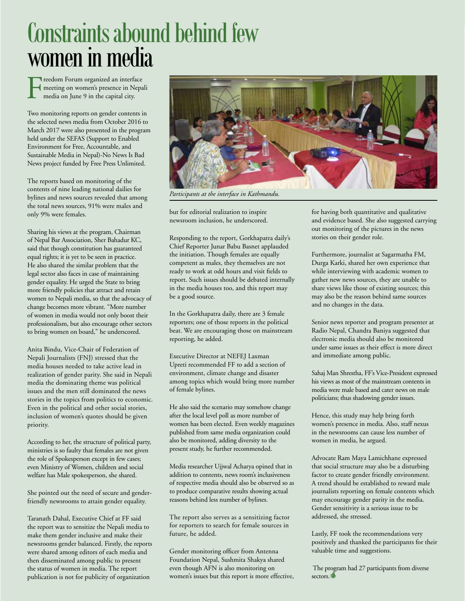## Constraints abound behind few women in media

Freedom Forum organized an interface meeting on women's presence in Nepali media on June 9 in the capital city.

Two monitoring reports on gender contents in the selected news media from October 2016 to March 2017 were also presented in the program held under the SEFAS (Support to Enabled Environment for Free, Accountable, and Sustainable Media in Nepal)-No News Is Bad News project funded by Free Press Unlimited.

The reports based on monitoring of the contents of nine leading national dailies for bylines and news sources revealed that among the total news sources, 91% were males and only 9% were females.

Sharing his views at the program, Chairman of Nepal Bar Association, Sher Bahadur KC, said that though constitution has guaranteed equal rights; it is yet to be seen in practice. He also shared the similar problem that the legal sector also faces in case of maintaining gender equality. He urged the State to bring more friendly policies that attract and retain women to Nepali media, so that the advocacy of change becomes more vibrant. "More number of women in media would not only boost their professionalism, but also encourage other sectors to bring women on board," he underscored.

Anita Bindu, Vice-Chair of Federation of Nepali Journalists (FNJ) stressed that the media houses needed to take active lead in realization of gender parity. She said in Nepali media the dominating theme was political issues and the men still dominated the news stories in the topics from politics to economic. Even in the political and other social stories, inclusion of women's quotes should be given priority.

According to her, the structure of political party, ministries is so faulty that females are not given the role of Spokesperson except in few cases; even Ministry of Women, children and social welfare has Male spokesperson, she shared.

She pointed out the need of secure and genderfriendly newsrooms to attain gender equality.

Taranath Dahal, Executive Chief at FF said the report was to sensitize the Nepali media to make them gender inclusive and make their newsrooms gender balanced. Firstly, the reports were shared among editors of each media and then disseminated among public to present the status of women in media. The report publication is not for publicity of organization



*Participants at the interface in Kathmandu.*

but for editorial realization to inspire newsroom inclusion, he underscored.

Responding to the report, Gorkhapatra daily's Chief Reporter Junar Babu Basnet applauded the initiation. Though females are equally competent as males, they themselves are not ready to work at odd hours and visit fields to report. Such issues should be debated internally in the media houses too, and this report may be a good source.

In the Gorkhapatra daily, there are 3 female reporters; one of those reports in the political beat. We are encouraging those on mainstream reporting, he added.

Executive Director at NEFEJ Laxman Upreti recommended FF to add a section of environment, climate change and disaster among topics which would bring more number of female bylines.

He also said the scenario may somehow change after the local level poll as more number of women has been elected. Even weekly magazines published from same media organization could also be monitored, adding diversity to the present study, he further recommended.

Media researcher Ujjwal Acharya opined that in addition to contents, news room's inclusiveness of respective media should also be observed so as to produce comparative results showing actual reasons behind less number of bylines.

The report also serves as a sensitizing factor for reporters to search for female sources in future, he added.

Gender monitoring officer from Antenna Foundation Nepal, Sushmita Shakya shared even though AFN is also monitoring on women's issues but this report is more effective, for having both quantitative and qualitative and evidence based. She also suggested carrying out monitoring of the pictures in the news stories on their gender role.

Furthermore, journalist at Sagarmatha FM, Durga Karki, shared her own experience that while interviewing with academic women to gather new news sources, they are unable to share views like those of existing sources; this may also be the reason behind same sources and no changes in the data.

Senior news reporter and program presenter at Radio Nepal, Chandra Baniya suggested that electronic media should also be monitored under same issues as their effect is more direct and immediate among public.

Sahaj Man Shrestha, FF's Vice-President expressed his views as most of the mainstream contents in media were male based and cater news on male politicians; thus shadowing gender issues.

Hence, this study may help bring forth women's presence in media. Also, staff nexus in the newsrooms can cause less number of women in media, he argued.

Advocate Ram Maya Lamichhane expressed that social structure may also be a disturbing factor to create gender friendly environment. A trend should be established to reward male journalists reporting on female contents which may encourage gender parity in the media. Gender sensitivity is a serious issue to be addressed, she stressed.

Lastly, FF took the recommendations very positively and thanked the participants for their valuable time and suggestions.

 The program had 27 participants from diverse sectors.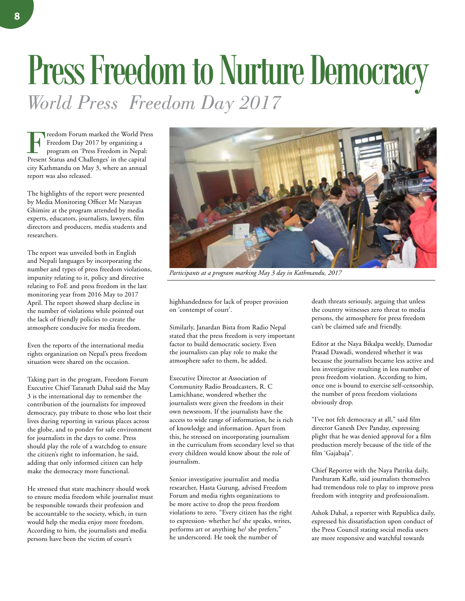# Press Freedom to Nurture Democracy *World Press Freedom Day 2017*

Freedom Forum marked the World Press Freedom Day 2017 by organizing a program on 'Press Freedom in Nepal: Present Status and Challenges' in the capital city Kathmandu on May 3, where an annual report was also released.

The highlights of the report were presented by Media Monitoring Officer Mr Narayan Ghimire at the program attended by media experts, educators, journalists, lawyers, film directors and producers, media students and researchers.

The report was unveiled both in English and Nepali languages by incorporating the number and types of press freedom violations, impunity relating to it, policy and directive relating to FoE and press freedom in the last monitoring year from 2016 May to 2017 April. The report showed sharp decline in the number of violations while pointed out the lack of friendly policies to create the atmosphere conducive for media freedom.

Even the reports of the international media rights organization on Nepal's press freedom situation were shared on the occasion.

Taking part in the program, Freedom Forum Executive Chief Taranath Dahal said the May 3 is the international day to remember the contribution of the journalists for improved democracy, pay tribute to those who lost their lives during reporting in various places across the globe, and to ponder for safe environment for journalists in the days to come. Press should play the role of a watchdog to ensure the citizen's right to information, he said, adding that only informed citizen can help make the democracy more functional.

He stressed that state machinery should work to ensure media freedom while journalist must be responsible towards their profession and be accountable to the society, which, in turn would help the media enjoy more freedom. According to him, the journalists and media persons have been the victim of court's



*Participants at a program marking May 3 day in Kathmandu, 2017*

highhandedness for lack of proper provision on 'contempt of court'.

Similarly, Janardan Bista from Radio Nepal stated that the press freedom is very important factor to build democratic society. Even the journalists can play role to make the atmosphere safer to them, he added.

Executive Director at Association of Community Radio Broadcasters, R. C Lamichhane, wondered whether the journalists were given the freedom in their own newsroom. If the journalists have the access to wide range of information, he is rich of knowledge and information. Apart from this, he stressed on incorporating journalism in the curriculum from secondary level so that every children would know about the role of journalism.

Senior investigative journalist and media researcher, Hasta Gurung, advised Freedom Forum and media rights organizations to be more active to drop the press freedom violations to zero. "Every citizen has the right to expression- whether he/ she speaks, writes, performs art or anything he/ she prefers," he underscored. He took the number of

death threats seriously, arguing that unless the country witnesses zero threat to media persons, the atmosphere for press freedom can't be claimed safe and friendly.

Editor at the Naya Bikalpa weekly, Damodar Prasad Dawadi, wondered whether it was because the journalists became less active and less investigative resulting in less number of press freedom violation. According to him, once one is bound to exercise self-censorship, the number of press freedom violations obviously drop.

"I've not felt democracy at all," said film director Ganesh Dev Panday, expressing plight that he was denied approval for a film production merely because of the title of the film 'Gajabaja".

Chief Reporter with the Naya Patrika daily, Parshuram Kafle, said journalists themselves had tremendous role to play to improve press freedom with integrity and professionalism.

Ashok Dahal, a reporter with Republica daily, expressed his dissatisfaction upon conduct of the Press Council stating social media users are more responsive and watchful towards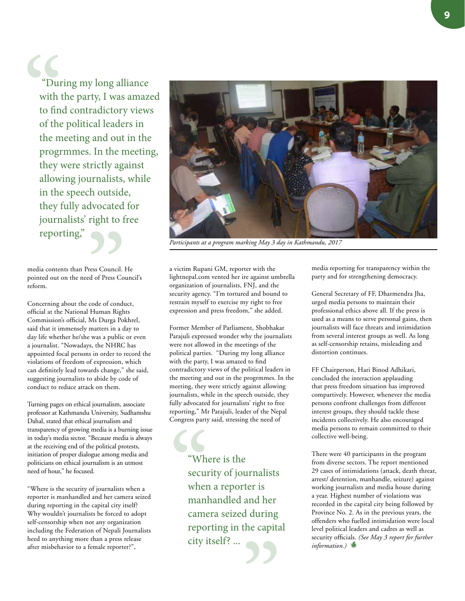**9**

 "During my long alliance with the party, I was amazed to find contradictory views of the political leaders in the meeting and out in the progrmmes. In the meeting, they were strictly against allowing journalists, while in the speech outside, they fully advocated for journalists' right to free reporting,"

media contents than Press Council. He pointed out on the need of Press Council's reform.

Concerning about the code of conduct, official at the National Human Rights Commission's official, Ms Durga Pokhrel, said that it immensely matters in a day to day life whether he/she was a public or even a journalist. "Nowadays, the NHRC has appointed focal persons in order to record the violations of freedom of expression, which can definitely lead towards change," she said, suggesting journalists to abide by code of conduct to reduce attack on them.

Turning pages on ethical journalism, associate professor at Kathmandu University, Sudhamshu Dahal, stated that ethical journalism and transparency of growing media is a burning issue in today's media sector. "Because media is always at the receiving end of the political protests, initiation of proper dialogue among media and politicians on ethical journalism is an utmost need of hour," he focused.

"Where is the security of journalists when a reporter is manhandled and her camera seized during reporting in the capital city itself? Why wouldn't journalists be forced to adopt self-censorship when not any organization including the Federation of Nepali Journalists heed to anything more than a press release after misbehavior to a female reporter?",



*Participants at a program marking May 3 day in Kathmandu, 2017*

a victim Rupani GM, reporter with the lightnepal.com vented her ire against umbrella organization of journalists, FNJ, and the security agency. "I'm tortured and bound to restrain myself to exercise my right to free expression and press freedom," she added.

Former Member of Parliament, Shobhakar Parajuli expressed wonder why the journalists were not allowed in the meetings of the political parties. "During my long alliance with the party, I was amazed to find contradictory views of the political leaders in the meeting and out in the progrmmes. In the meeting, they were strictly against allowing journalists, while in the speech outside, they fully advocated for journalists' right to free reporting," Mr Parajuli, leader of the Nepal Congress party said, stressing the need of

> "Where is the security of journalists when a reporter is manhandled and her camera seized during reporting in the capital city itself? ...

media reporting for transparency within the party and for strengthening democracy.

General Secretary of FF, Dharmendra Jha, urged media persons to maintain their professional ethics above all. If the press is used as a means to serve personal gains, then journalists will face threats and intimidation from several interest groups as well. As long as self-censorship retains, misleading and distortion continues.

FF Chairperson, Hari Binod Adhikari, concluded the interaction applauding that press freedom situation has improved compartively. However, whenever the media persons confront challenges from different interest groups, they should tackle these incidents collectively. He also encouraged media persons to remain committed to their collective well-being.

There were 40 participants in the program from diverse sectors. The report mentioned 29 cases of intimidations (attack, death threat, arrest/ detention, manhandle, seizure) against working journalists and media house during a year. Highest number of violations was recorded in the capital city being followed by Province No. 2. As in the previous years, the offenders who fuelled intimidation were local level political leaders and cadres as well as security officials. *(See May 3 report for further information.*)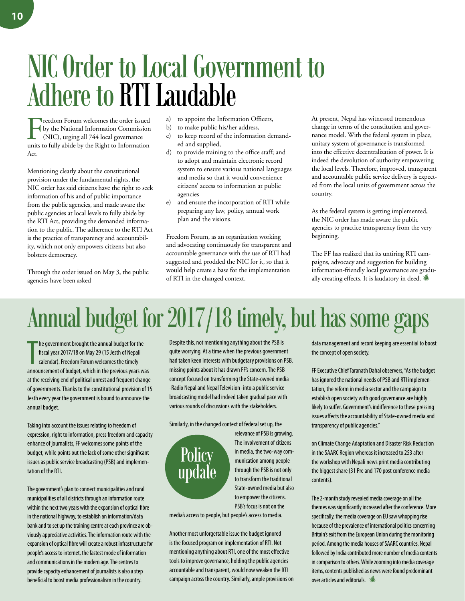## NIC Order to Local Government to Adhere to RTI Laudable

Freedom Forum welcomes the order issued<br>by the National Information Commission<br>(NIC), urging all 744 local governance<br>units to fully abide by the Right to Information by the National Information Commission (NIC), urging all 744 local governance units to fully abide by the Right to Information Act.

Mentioning clearly about the constitutional provision under the fundamental rights, the NIC order has said citizens have the right to seek information of his and of public importance from the public agencies, and made aware the public agencies at local levels to fully abide by the RTI Act, providing the demanded information to the public. The adherence to the RTI Act is the practice of transparency and accountability, which not only empowers citizens but also bolsters democracy.

Through the order issued on May 3, the public agencies have been asked

- a) to appoint the Information Officers,
- b) to make public his/her address,
- c) to keep record of the information demanded and supplied,
- d) to provide training to the office staff; and to adopt and maintain electronic record system to ensure various national languages and media so that it would convenience citizens' access to information at public agencies
- e) and ensure the incorporation of RTI while preparing any law, policy, annual work plan and the visions.

Freedom Forum, as an organization working and advocating continuously for transparent and accountable governance with the use of RTI had suggested and prodded the NIC for it, so that it would help create a base for the implementation of RTI in the changed context.

At present, Nepal has witnessed tremendous change in terms of the constitution and governance model. With the federal system in place, unitary system of governance is transformed into the effective decentralization of power. It is indeed the devolution of authority empowering the local levels. Therefore, improved, transparent and accountable public service delivery is expected from the local units of government across the country.

As the federal system is getting implemented, the NIC order has made aware the public agencies to practice transparency from the very beginning.

The FF has realized that its untiring RTI campaigns, advocacy and suggestion for building information-friendly local governance are gradually creating effects. It is laudatory in deed.  $\blacksquare$ 

## Annual budget for 2017/18 timely, but has some gaps

The government brought the annual budget for the<br>fiscal year 2017/18 on May 29 (15 Jesth of Nepali<br>calendar). Freedom Forum welcomes the timely<br>announcement of budget, which in the previous years was he government brought the annual budget for the fiscal year 2017/18 on May 29 (15 Jesth of Nepali calendar). Freedom Forum welcomes the timely at the receiving end of political unrest and frequent change of governments. Thanks to the constitutional provision of 15 Jesth every year the government is bound to announce the annual budget.

Taking into account the issues relating to freedom of expression, right to information, press freedom and capacity enhance of journalists, FF welcomes some points of the budget, while points out the lack of some other significant issues as public service broadcasting (PSB) and implementation of the RTI.

The government's plan to connect municipalities and rural municipalities of all districts through an information route within the next two years with the expansion of optical fibre in the national highway, to establish an information/data bank and to set up the training centre at each province are obviously appreciative activities. The information route with the expansion of optical fibre will create a robust infrastructure for people's access to internet, the fastest mode of information and communications in the modern age. The centres to provide capacity enhancement of journalists is also a step beneficial to boost media professionalism in the country.

Despite this, not mentioning anything about the PSB is quite worrying. At a time when the previous government had taken keen interests with budgetary provisions on PSB, missing points about it has drawn FF's concern. The PSB concept focused on transforming the State-owned media -Radio Nepal and Nepal Television -into a public service broadcasting model had indeed taken gradual pace with various rounds of discussions with the stakeholders.

Similarly, in the changed context of federal set up, the



relevance of PSB is growing. The involvement of citizens in media, the two-way communication among people through the PSB is not only to transform the traditional State-owned media but also to empower the citizens. PSB's focus is not on the

media's access to people, but people's access to media.

Another most unforgettable issue the budget ignored is the focused program on implementation of RTI. Not mentioning anything about RTI, one of the most effective tools to improve governance, holding the public agencies accountable and transparent, would now weaken the RTI campaign across the country. Similarly, ample provisions on data management and record keeping are essential to boost the concept of open society.

FF Executive Chief Taranath Dahal observers, "As the budget has ignored the national needs of PSB and RTI implementation, the reform in media sector and the campaign to establish open society with good governance are highly likely to suffer. Government's indifference to these pressing issues affects the accountability of State-owned media and transparency of public agencies."

on Climate Change Adaptation and Disaster Risk Reduction in the SAARC Region whereas it increased to 253 after the workshop with Nepali news print media contributing the biggest share (31 Pre and 170 post conference media contents).

The 2-month study revealed media coverage on all the themes was significantly increased after the conference. More specifically, the media coverage on EU saw whopping rise because of the prevalence of international politics concerning Britain's exit from the European Union during the monitoring period. Among the media houses of SAARC countries, Nepal followed by India contributed more number of media contents in comparison to others. While zooming into media coverage items, contents published as news were found predominant over articles and editorials.  $\mathcal{L}$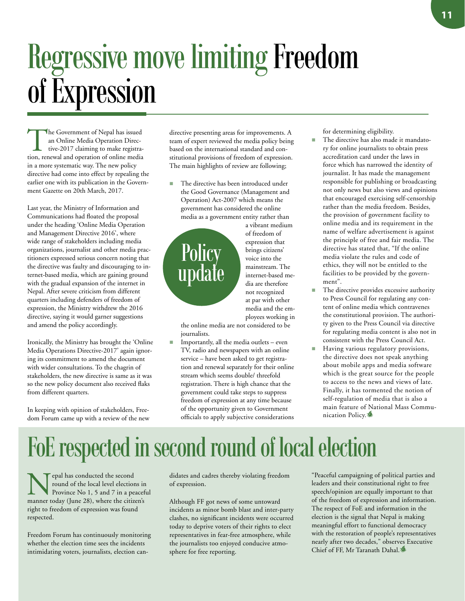# Regressive move limiting Freedom of Expression

The Government of Nepal has issued<br>an Online Media Operation Direc-<br>tive-2017 claiming to make registra-<br>tion renewal and oneration of online media an Online Media Operation Direction, renewal and operation of online media in a more systematic way. The new policy directive had come into effect by repealing the earlier one with its publication in the Government Gazette on 20th March, 2017.

Last year, the Ministry of Information and Communications had floated the proposal under the heading 'Online Media Operation and Management Directive 2016', where wide range of stakeholders including media organizations, journalist and other media practitioners expressed serious concern noting that the directive was faulty and discouraging to internet-based media, which are gaining ground with the gradual expansion of the internet in Nepal. After severe criticism from different quarters including defenders of freedom of expression, the Ministry withdrew the 2016 directive, saying it would garner suggestions and amend the policy accordingly.

Ironically, the Ministry has brought the 'Online Media Operations Directive-2017' again ignoring its commitment to amend the document with wider consultations. To the chagrin of stakeholders, the new directive is same as it was so the new policy document also received flaks from different quarters.

In keeping with opinion of stakeholders, Freedom Forum came up with a review of the new directive presenting areas for improvements. A team of expert reviewed the media policy being based on the international standard and constitutional provisions of freedom of expression. The main highlights of review are following;

■ The directive has been introduced under the Good Governance (Management and Operation) Act-2007 which means the government has considered the online media as a government entity rather than

a vibrant medium of freedom of expression that brings citizens' voice into the mainstream. The internet-based media are therefore not recognized at par with other media and the employees working in

the online media are not considered to be journalists.

Importantly, all the media outlets - even TV, radio and newspapers with an online service – have been asked to get registration and renewal separately for their online stream which seems double/ threefold registration. There is high chance that the government could take steps to suppress freedom of expression at any time because of the opportunity given to Government officials to apply subjective considerations

for determining eligibility.

- The directive has also made it mandatory for online journalists to obtain press accreditation card under the laws in force which has narrowed the identity of journalist. It has made the management responsible for publishing or broadcasting not only news but also views and opinions that encouraged exercising self-censorship rather than the media freedom. Besides, the provision of government facility to online media and its requirement in the name of welfare advertisement is against the principle of free and fair media. The directive has stated that, "If the online media violate the rules and code of ethics, they will not be entitled to the facilities to be provided by the government".
- The directive provides excessive authority to Press Council for regulating any content of online media which contravenes the constitutional provision. The authority given to the Press Council via directive for regulating media content is also not in consistent with the Press Council Act.
- Having various regulatory provisions, the directive does not speak anything about mobile apps and media software which is the great source for the people to access to the news and views of late. Finally, it has tormented the notion of self-regulation of media that is also a main feature of National Mass Communication Policy.

## FoE respected in second round of local election

Fepal has conducted the second<br>
province No 1, 5 and 7 in a peaceful<br>
manner today (June 28), where the citizen's round of the local level elections in manner today (June 28), where the citizen's right to freedom of expression was found respected.

Freedom Forum has continuously monitoring whether the election time sees the incidents intimidating voters, journalists, election candidates and cadres thereby violating freedom of expression.

Although FF got news of some untoward incidents as minor bomb blast and inter-party clashes, no significant incidents were occurred today to deprive voters of their rights to elect representatives in fear-free atmosphere, while the journalists too enjoyed conducive atmosphere for free reporting.

"Peaceful campaigning of political parties and leaders and their constitutional right to free speech/opinion are equally important to that of the freedom of expression and information. The respect of FoE and information in the election is the signal that Nepal is making meaningful effort to functional democracy with the restoration of people's representatives nearly after two decades," observes Executive Chief of FF, Mr Taranath Dahal.

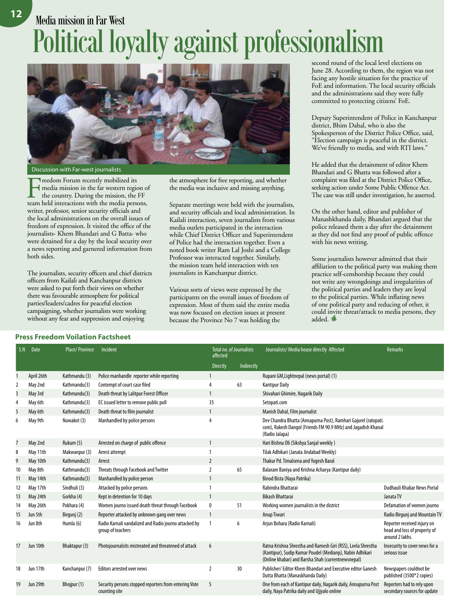## Media mission in Far West Political loyalty against professionalism



Discussion with Far-west journalists

Freedom Forum recently mobilized its<br>media mission in the far western region<br>the country. During the mission, the<br>team held interactions with the media nerse media mission in the far western region of the country. During the mission, the FF team held interactions with the media persons, writer, professor, senior security officials and the local administrations on the overall issues of freedom of expression. It visited the office of the journalists- Khem Bhandari and G Batta- who were detained for a day by the local security over a news reporting and garnered information from both sides.

The journalists, security officers and chief districts officers from Kailali and Kanchanpur districts were asked to put forth their views on whether there was favourable atmosphere for political parties/leaders/cadres for peaceful election campaigning, whether journalists were working without any fear and suppression and enjoying

the atmosphere for free reporting, and whether the media was inclusive and missing anything.

Separate meetings were held with the journalists, and security officials and local administration. In Kailali interaction, seven journalists from various media outlets participated in the interaction while Chief District Officer and Superintendent of Police had the interaction together. Even a noted book writer Ram Lal Joshi and a College Professor was interacted together. Similarly, the mission team held interaction with ten journalists in Kanchanpur district.

Various sorts of views were expressed by the participants on the overall issues of freedom of expression. Most of them said the entire media was now focused on election issues at present because the Province No 7 was holding the

second round of the local level elections on June 28. According to them, the region was not facing any hostile situation for the practice of FoE and information. The local security officials and the administrations said they were fully committed to protecting citizens' FoE.

Deputy Superintendent of Police in Kanchanpur district, Bhim Dahal, who is also the Spokesperson of the District Police Office, said, "Election campaign is peaceful in the district. We've friendly to media, and with RTI laws."

He added that the detainment of editor Khem Bhandari and G Bhatta was followed after a complaint was filed at the District Police Office, seeking action under Some Public Offence Act. The case was still under investigation, he asserted.

On the other hand, editor and publisher of Manashkhanda daily, Bhandari argued that the police released them a day after the detainment as they did not find any proof of public offence with his news writing.

Some journalists however admitted that their affiliation to the political party was making them practice self-censhorship because they could not write any wrongdoings and irregularities of the political parties and leaders they are loyal to the political parties. While inflating news of one political party and reducing of other, it could invite threat/attack to media persons, they added.

| <b>Press Freedom Voilation Factsheet</b> |  |  |
|------------------------------------------|--|--|
|------------------------------------------|--|--|

| S.N | <b>Date</b> | <b>Place/Province</b> | Incident                                                                   | <b>Total no. of Journalists</b><br>affected |            | Journalists/ Media house directly Affected                                                                                                                                     | Remarks                                                                        |
|-----|-------------|-----------------------|----------------------------------------------------------------------------|---------------------------------------------|------------|--------------------------------------------------------------------------------------------------------------------------------------------------------------------------------|--------------------------------------------------------------------------------|
|     |             |                       |                                                                            | <b>Directly</b>                             | Indirectly |                                                                                                                                                                                |                                                                                |
|     | April 26th  | Kathmandu (3)         | Police manhandle reporter while reporting                                  | 1                                           |            | Rupani GM, Lightnepal (news portal) (1)                                                                                                                                        |                                                                                |
| 2   | May 2nd     | Kathmandu(3)          | Contempt of court case filed                                               | 4                                           | 63         | <b>Kantipur Daily</b>                                                                                                                                                          |                                                                                |
| 3   | May 3rd     | Kathmandu(3)          | Death threat by Lalitpur Forest Officer                                    | $\mathbf{1}$                                |            | Shivahari Ghimire, Nagarik Daily                                                                                                                                               |                                                                                |
| 4   | May 6th     | Kathmandu(3)          | EC issued letter to remove public poll                                     | 35                                          |            | Setopati.com                                                                                                                                                                   |                                                                                |
| 5   | May 6th     | Kathmandu(3)          | Death threat to film journalist                                            | $\mathbf{1}$                                |            | Manish Dahal, Film journalist                                                                                                                                                  |                                                                                |
| 6   | May 9th     | Nuwakot (3)           | Manhandled by police persons                                               | 4                                           |            | Dev Chandra Bhatta (Annapurna Post), Ramhari Gajurel (ratopati.<br>com), Rakesh Dangol (Friends FM 90.9 MHz) and Jagadish Khanal<br>(Radio Jalapa)                             |                                                                                |
| 7   | May 2nd     | Rukum (5)             | Arrested on charge of public offence                                       | 1                                           |            | Hari Bishnu Oli (Sikshya Sanjal weekly)                                                                                                                                        |                                                                                |
| 8   | May 11th    | Makwanpur (3)         | Arrest attempt                                                             |                                             |            | Tilak Adhikari (Janata Jindabad Weekly)                                                                                                                                        |                                                                                |
| 9   | May 10th    | Kathmandu(3)          | Arrest                                                                     | $\overline{2}$                              |            | Thakur Pd. Timalsena and Yogesh Baral                                                                                                                                          |                                                                                |
| 10  | May 8th     | Kathmandu(3)          | Threats through Facebook and Twitter                                       | 2                                           | 65         | Balaram Baniya and Krishna Acharya (Kantipur daily)                                                                                                                            |                                                                                |
| 11  | May 14th    | Kathmandu(3)          | Manhandled by police person                                                | $\mathbf{1}$                                |            | Binod Bista (Naya Patrika)                                                                                                                                                     |                                                                                |
| 12  | May 17th    | Sindhuli (3)          | Attacked by police persons                                                 | 1                                           |            | Rabindra Bhattarai                                                                                                                                                             | Dudhauli Khabar News Portal                                                    |
| 13  | May 24th    | Gorkha (4)            | Kept in detention for 10 days                                              | $\mathbf{1}$                                |            | <b>Bikash Bhattarai</b>                                                                                                                                                        | Janata TV                                                                      |
| 14  | May 26th    | Pokhara (4)           | Women journo issued death threat through Facebook                          | 0                                           | 51         | Working women journalists in the district                                                                                                                                      | Defamation of women journo                                                     |
| 15  | Jun 5th     | Birgunj (2)           | Reporter attacked by unknown gang over news                                | $\mathbf{1}$                                |            | Anup Tiwari                                                                                                                                                                    | <b>Radio Birguni and Mountain TV</b>                                           |
| 16  | Jun 8th     | Humla (6)             | Radio Karnali vandalized and Radio journo attacked by<br>group of teachers | $\mathbf{1}$                                | 6          | Arjun Bohara (Radio Karnali)                                                                                                                                                   | Reporter received injury on<br>head and loss of property of<br>around 2 lakhs. |
| 17  | Jun 10th    | Bhaktapur (3)         | Photojournalsits mistreated and threatened of attack                       | 6                                           |            | Ratna Krishna Shrestha and Ramesh Giri (RSS), Leela Shrestha<br>(Kantipur), Sudip Kumar Poudel (Medianp), Nabin Adhikari<br>(Online khabar) and Barsha Shah (currentnewsnepal) | Insecurity to cover news for a<br>serious issue                                |
| 18  | Jun 17th    | Kanchanpur (7)        | <b>Editors arrested over news</b>                                          | 2                                           | 30         | Publisher/Editor Khem Bhandari and Executive editor Ganesh<br>Dutta Bhatta (Manaskhanda Daily)                                                                                 | Newspapers couldnot be<br>published (3500*2 copies)                            |
| 19  | Jun 29th    | Bhojpur (1)           | Security persons stopped reporters from entering Vote<br>counting site     | 5                                           |            | One from each of Kantipur daily, Nagarik daily, Annapurna Post<br>daily, Naya Patrika daily and Ujjyalo online                                                                 | Reporters had to rely upon<br>secondary sources for update                     |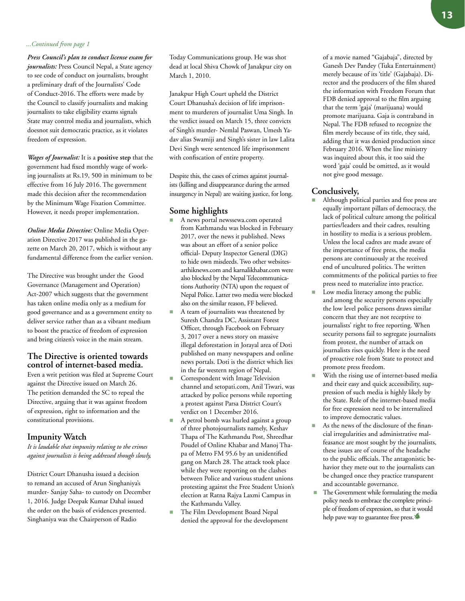#### *...Continued from page 1*

*Press Council's plan to conduct license exam for journalists:* Press Council Nepal, a State agency to see code of conduct on journalists, brought a preliminary draft of the Journalists' Code of Conduct-2016. The efforts were made by the Council to classify journalists and making journalists to take eligibility exams signals State may control media and journalists, which doesnot suit democratic practice, as it violates freedom of expression.

*Wages of Journalist:* It is a **positive step** that the government had fixed monthly wage of working journalists at Rs.19, 500 in minimum to be effective from 16 July 2016. The government made this decision after the recommendation by the Minimum Wage Fixation Committee. However, it needs proper implementation.

*Online Media Directive:* Online Media Operation Directive 2017 was published in the gazette on March 20, 2017, which is without any fundamental difference from the earlier version.

The Directive was brought under the Good Governance (Management and Operation) Act-2007 which suggests that the government has taken online media only as a medium for good governance and as a government entity to deliver service rather than as a vibrant medium to boost the practice of freedom of expression and bring citizen's voice in the main stream.

### **The Directive is oriented towards control of internet-based media.**

Even a writ petition was filed at Supreme Court against the Directive issued on March 26. The petition demanded the SC to repeal the Directive, arguing that it was against freedom of expression, right to information and the constitutional provisions.

### **Impunity Watch**

*It is laudable that impunity relating to the crimes against journalists is being addressed though slowly,* 

District Court Dhanusha issued a decision to remand an accused of Arun Singhaniya's murder- Sanjay Saha- to custody on December 1, 2016. Judge Deepak Kumar Dahal issued the order on the basis of evidences presented. Singhaniya was the Chairperson of Radio

Today Communications group. He was shot dead at local Shiva Chowk of Janakpur city on March 1, 2010.

Janakpur High Court upheld the District Court Dhanusha's decision of life imprisonment to murderers of journalist Uma Singh. In the verdict issued on March 15, three convicts of Singh's murder- Nemlal Paswan, Umesh Yadav alias Swamiji and Singh's sister in law Lalita Devi Singh were sentenced life imprisonment with confiscation of entire property.

Despite this, the cases of crimes against journalists (killing and disappearance during the armed insurgency in Nepal) are waiting justice, for long.

### **Some highlights**

- A news portal newssewa.com operated from Kathmandu was blocked in February 2017, over the news it published. News was about an effort of a senior police official- Deputy Inspector General (DIG) to hide own misdeeds. Two other websitesarthiknews.com and karnalikhabar.com were also blocked by the Nepal Telecommunications Authority (NTA) upon the request of Nepal Police. Latter two media were blocked also on the similar reason, FF believed.
- $A$  team of journalists was threatened by Suresh Chandra DC, Assistant Forest Officer, through Facebook on February 3, 2017 over a news story on massive illegal deforestation in Jorayal area of Doti published on many newspapers and online news portals. Doti is the district which lies in the far western region of Nepal.
- Correspondent with Image Television channel and setopati.com, Anil Tiwari, was attacked by police persons while reporting a protest against Parsa District Court's verdict on 1 December 2016.
- A petrol bomb was hurled against a group of three photojournalists namely, Keshav Thapa of The Kathmandu Post, Shreedhar Poudel of Online Khabar and Manoj Thapa of Metro FM 95.6 by an unidentified gang on March 28. The attack took place while they were reporting on the clashes between Police and various student unions protesting against the Free Student Union's election at Ratna Rajya Laxmi Campus in the Kathmandu Valley.
- The Film Development Board Nepal denied the approval for the development

of a movie named "Gajabaja", directed by Ganesh Dev Pandey (Tuka Entertainment) merely because of its 'title' (Gajabaja). Director and the producers of the film shared the information with Freedom Forum that FDB denied approval to the film arguing that the term 'gaja' (marijuana) would promote marijuana. Gaja is contraband in Nepal. The FDB refused to recognize the film merely because of its title, they said, adding that it was denied production since February 2016. When the line ministry was inquired about this, it too said the word 'gaja' could be omitted, as it would not give good message.

### **Conclusively,**

- Although political parties and free press are equally important pillars of democracy, the lack of political culture among the political parties/leaders and their cadres, resulting in hostility to media is a serious problem. Unless the local cadres are made aware of the importance of free press, the media persons are continuously at the received end of uncultured politics. The written commitments of the political parties to free press need to materialize into practice.
- Low media literacy among the public and among the security persons especially the low level police persons draws similar concern that they are not receptive to journalists' right to free reporting. When security persons fail to segregate journalists from protest, the number of attack on journalists rises quickly. Here is the need of proactive role from State to protect and promote press freedom.
- With the rising use of internet-based media and their easy and quick accessibility, suppression of such media is highly likely by the State. Role of the internet-based media for free expression need to be internalized to improve democratic values.
- As the news of the disclosure of the financial irregularities and administrative malfeasance are most sought by the journalists, these issues are of course of the headache to the public officials. The antagonistic behavior they mete out to the journalists can be changed once they practice transparent and accountable governance.
- The Government while formulating the media policy needs to embrace the complete principle of freedom of expression, so that it would help pave way to guarantee free press.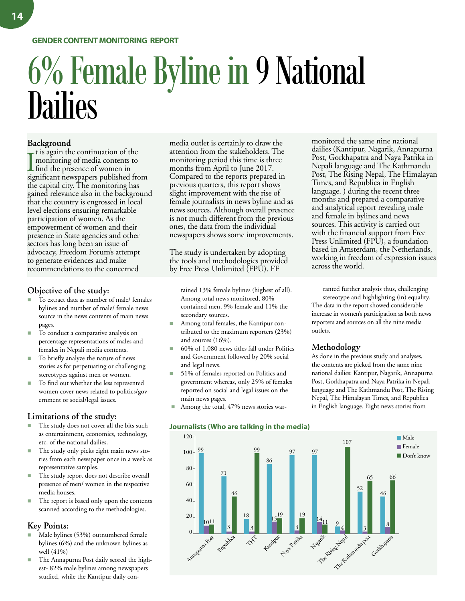### **GENDER CONTENT MONITORING REPORT**

# 6% Female Byline in 9 National **Dailies**

### **Background**

It is again the continuation of the<br>
monitoring of media contents<br>
find the presence of women in<br>
simificant newspapers published t is again the continuation of the monitoring of media contents to significant newspapers published from the capital city. The monitoring has gained relevance also in the background that the country is engrossed in local level elections ensuring remarkable participation of women. As the empowerment of women and their presence in State agencies and other sectors has long been an issue of advocacy, Freedom Forum's attempt to generate evidences and make recommendations to the concerned

### **Objective of the study:**

- To extract data as number of male/ females bylines and number of male/ female news source in the news contents of main news pages.
- To conduct a comparative analysis on percentage representations of males and females in Nepali media contents.
- To briefly analyze the nature of news stories as for perpetuating or challenging stereotypes against men or women.
- To find out whether the less represented women cover news related to politics/government or social/legal issues.

### **Limitations of the study:**

- The study does not cover all the bits such as entertainment, economics, technology, etc. of the national dailies.
- The study only picks eight main news stories from each newspaper once in a week as representative samples.
- The study report does not describe overall presence of men/ women in the respective media houses.
- The report is based only upon the contents scanned according to the methodologies.

### **Key Points:**

- Male bylines (53%) outnumbered female bylines (6%) and the unknown bylines as well (41%)
- The Annapurna Post daily scored the highest- 82% male bylines among newspapers studied, while the Kantipur daily con-

media outlet is certainly to draw the attention from the stakeholders. The monitoring period this time is three months from April to June 2017. Compared to the reports prepared in previous quarters, this report shows slight improvement with the rise of female journalists in news byline and as news sources. Although overall presence is not much different from the previous ones, the data from the individual newspapers shows some improvements.

The study is undertaken by adopting the tools and methodologies provided by Free Press Unlimited (FPU). FF

tained 13% female bylines (highest of all). Among total news monitored, 80% contained men, 9% female and 11% the secondary sources.

- Among total females, the Kantipur contributed to the maximum reporters (23%) and sources (16%).
- n 60% of 1,080 news titles fall under Politics and Government followed by 20% social and legal news.
- 51% of females reported on Politics and government whereas, only 25% of females reported on social and legal issues on the main news pages.
- Among the total, 47% news stories war-



3 4 8 65 66  $^{14}$ <sub>11</sub> 97 9 52 46 107 Annapurna Post Republica THE Kantipur Naya Patrika The Rising Length March 1935 Gorkhapatra Male **F**emale Don't know 120  $100 -$ 80 60 40 20 0 99 1011 3 46 3 99 19 4 19 71 18 86 97

monitored the same nine national dailies (Kantipur, Nagarik, Annapurna Post, Gorkhapatra and Naya Patrika in Nepali language and The Kathmandu Post, The Rising Nepal, The Himalayan Times, and Republica in English language. ) during the recent three months and prepared a comparative and analytical report revealing male and female in bylines and news sources. This activity is carried out with the financial support from Free Press Unlimited (FPU), a foundation based in Amsterdam, the Netherlands, working in freedom of expression issues across the world.

ranted further analysis thus, challenging stereotype and highlighting (in) equality. The data in the report showed considerable increase in women's participation as both news reporters and sources on all the nine media outlets.

### **Methodology**

As done in the previous study and analyses, the contents are picked from the same nine national dailies: Kantipur, Nagarik, Annapurna Post, Gorkhapatra and Naya Patrika in Nepali language and The Kathmandu Post, The Rising Nepal, The Himalayan Times, and Republica in English language. Eight news stories from

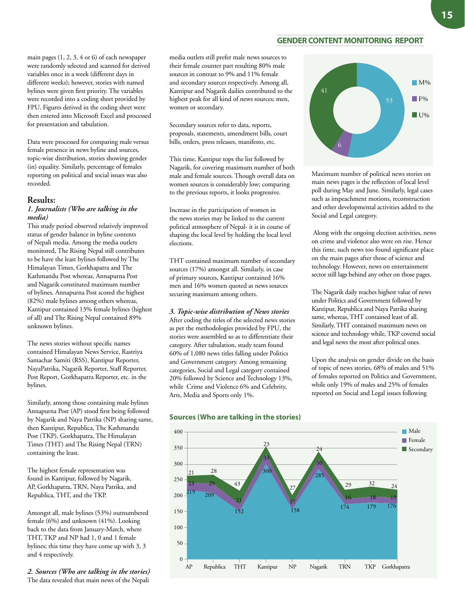### **GENDER CONTENT MONITORING REPORT**

main pages (1, 2, 3, 4 or 6) of each newspaper were randomly selected and scanned for derived variables once in a week (different days in different weeks); however, stories with named bylines were given first priority. The variables were recorded into a coding sheet provided by FPU. Figures derived in the coding sheet were then entered into Microsoft Excel and processed for presentation and tabulation.

Data were processed for comparing male versus female presence in news byline and sources, topic-wise distribution, stories showing gender (in) equality. Similarly, percentage of females reporting on political and social issues was also recorded.

### **Results:**

### *1. Journalists (Who are talking in the media)*

This study period observed relatively improved status of gender balance in byline contents of Nepali media. Among the media outlets monitored, The Rising Nepal still contributes to be have the least bylines followed by The Himalayan Times, Gorkhapatra and The Kathmandu Post whereas, Annapurna Post and Nagarik constituted maximum number of bylines. Annapurna Post scored the highest (82%) male bylines among others whereas, Kantipur contained 13% female bylines (highest of all) and The Rising Nepal contained 89% unknown bylines.

The news stories without specific names contained Himalayan News Service, Rastriya Samachar Samiti (RSS), Kantipur Reporter, NayaPatrika, Nagarik Reporter, Staff Reporter, Post Report, Gorkhapatra Reporter, etc. in the bylines.

Similarly, among those containing male bylines Annapurna Post (AP) stood first being followed by Nagarik and Naya Patrika (NP) sharing same, then Kantipur, Republica, The Kathmandu Post (TKP), Gorkhapatra, The Himalayan Times (THT) and The Rising Nepal (TRN) containing the least.

The highest female representation was found in Kantipur, followed by Nagarik, AP, Gorkhapatra, TRN, Naya Patrika, and Republica, THT, and the TKP.

Amongst all, male bylines (53%) outnumbered female (6%) and unknown (41%). Looking back to the data from January-March, where THT, TKP and NP had 1, 0 and 1 female bylines; this time they have come up with 3, 3 and 4 respectively.

*2. Sources (Who are talking in the stories)* The data revealed that main news of the Nepali

media outlets still prefer male news sources to their female counter part resulting 80% male sources in contrast to 9% and 11% female and secondary sources respectively. Among all, Kantipur and Nagarik dailies contributed to the highest peak for all kind of news sources; men, women or secondary.

Secondary sources refer to data, reports, proposals, statements, amendment bills, court bills, orders, press releases, manifesto, etc.

This time, Kantipur tops the list followed by Nagarik, for covering maximum number of both male and female sources. Though overall data on women sources is considerably low; comparing to the previous reports, it looks progressive.

Increase in the participation of women in the news stories may be linked to the current political atmosphere of Nepal- it is in course of shaping the local level by holding the local level elections.

THT contained maximum number of secondary sources (17%) amongst all. Similarly, in case of primary sources, Kantipur contained 16% men and 16% women quoted as news sources securing maximum among others.

#### *3. Topic-wise distribution of News stories*

After coding the titles of the selected news stories as per the methodologies provided by FPU, the stories were assembled so as to differentiate their category. After tabulation, study team found 60% of 1,080 news titles falling under Politics and Government category. Among remaining categories, Social and Legal category contained 20% followed by Science and Technology 13%, while Crime and Violence 6% and Celebrity, Arts, Media and Sports only 1%.



Maximum number of political news stories on main news pages is the reflection of local level poll during May and June. Similarly, legal cases such as impeachment motions, reconstruction and other developmental activities added to the Social and Legal category.

 Along with the ongoing election activities, news on crime and violence also were on rise. Hence this time, such news too found significant place on the main pages after those of science and technology. However, news on entertainment sector still lags behind any other on those pages.

The Nagarik daily reaches highest value of news under Politics and Government followed by Kantipur, Republica and Naya Patrika sharing same, whereas, THT contained least of all. Similarly, THT contained maximum news on science and technology while, TKP covered social and legal news the most after political ones.

Upon the analysis on gender divide on the basis of topic of news stories, 68% of males and 51% of females reported on Politics and Government, while only 19% of males and 25% of females reported on Social and Legal issues following



### **Sources (Who are talking in the stories)**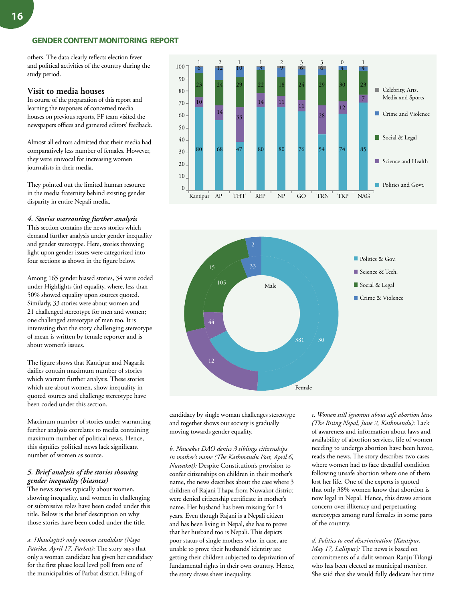### **GENDER CONTENT MONITORING REPORT**

others. The data clearly reflects election fever and political activities of the country during the study period.

### **Visit to media houses**

In course of the preparation of this report and learning the responses of concerned media houses on previous reports, FF team visited the newspapers offices and garnered editors' feedback.

Almost all editors admitted that their media had comparatively less number of females. However, they were univocal for increasing women journalists in their media.

They pointed out the limited human resource in the media fraternity behind existing gender disparity in entire Nepali media.

### *4. Stories warranting further analysis*

This section contains the news stories which demand further analysis under gender inequality and gender stereotype. Here, stories throwing light upon gender issues were categorized into four sections as shown in the figure below.

Among 165 gender biased stories, 34 were coded under Highlights (in) equality, where, less than 50% showed equality upon sources quoted. Similarly, 33 stories were about women and 21 challenged stereotype for men and women; one challenged stereotype of men too. It is interesting that the story challenging stereotype of mean is written by female reporter and is about women's issues.

The figure shows that Kantipur and Nagarik dailies contain maximum number of stories which warrant further analysis. These stories which are about women, show inequality in quoted sources and challenge stereotype have been coded under this section.

Maximum number of stories under warranting further analysis correlates to media containing maximum number of political news. Hence, this signifies political news lack significant number of women as source.

### *5. Brief analysis of the stories showing gender inequality (biasness)*

The news stories typically about women, showing inequality, and women in challenging or submissive roles have been coded under this title. Below is the brief description on why those stories have been coded under the title.

*a. Dhaulagiri's only women candidate (Naya Patrika, April 17, Parbat):* The story says that only a woman candidate has given her candidacy for the first phase local level poll from one of the municipalities of Parbat district. Filing of





candidacy by single woman challenges stereotype and together shows our society is gradually moving towards gender equality.

*b. Nuwakot DAO denies 3 siblings citizenships in mother's name (The Kathmandu Post, April 6, Nuwakot):* Despite Constitution's provision to confer citizenships on children in their mother's name, the news describes about the case where 3 children of Rajani Thapa from Nuwakot district were denied citizenship certificate in mother's name. Her husband has been missing for 14 years. Even though Rajani is a Nepali citizen and has been living in Nepal, she has to prove that her husband too is Nepali. This depicts poor status of single mothers who, in case, are unable to prove their husbands' identity are getting their children subjected to deprivation of fundamental rights in their own country. Hence, the story draws sheer inequality.

*c. Women still ignorant about safe abortion laws (The Rising Nepal, June 2, Kathmandu):* Lack of awareness and information about laws and availability of abortion services, life of women needing to undergo abortion have been havoc, reads the news. The story describes two cases where women had to face dreadful condition following unsafe abortion where one of them lost her life. One of the experts is quoted that only 38% women know that abortion is now legal in Nepal. Hence, this draws serious concern over illiteracy and perpetuating stereotypes among rural females in some parts of the country.

*d. Politics to end discrimination (Kantipur, May 17, Lalitpur):* The news is based on commitments of a dalit woman Ranju Tilangi who has been elected as municipal member. She said that she would fully dedicate her time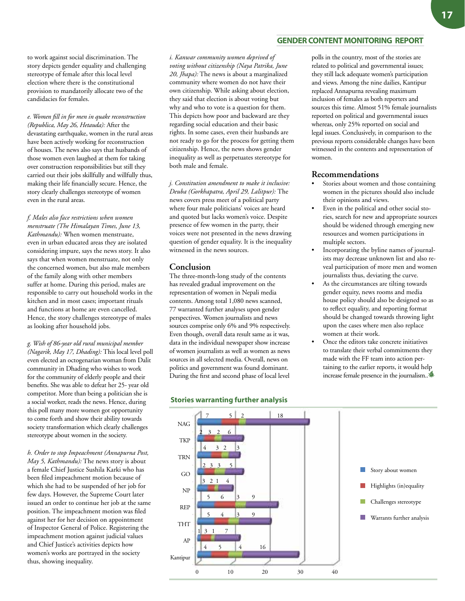to work against social discrimination. The story depicts gender equality and challenging stereotype of female after this local level election where there is the constitutional provision to mandatorily allocate two of the candidacies for females.

*e. Women fill in for men in quake reconstruction (Republica, May 26, Hetauda):* After the devastating earthquake, women in the rural areas have been actively working for reconstruction of houses. The news also says that husbands of those women even laughed at them for taking over construction responsibilities but still they carried out their jobs skillfully and willfully thus, making their life financially secure. Hence, the story clearly challenges stereotype of women even in the rural areas.

*f. Males also face restrictions when women menstruate (The Himalayan Times, June 13, Kathmandu):* When women menstruate, even in urban educated areas they are isolated considering impure, says the news story. It also says that when women menstruate, not only the concerned women, but also male members of the family along with other members suffer at home. During this period, males are responsible to carry out household works in the kitchen and in most cases; important rituals and functions at home are even cancelled. Hence, the story challenges stereotype of males as looking after household jobs.

*g. Wish of 86-year old rural municipal member (Nagarik, May 17, Dhading):* This local level poll even elected an octogenarian woman from Dalit community in Dhading who wishes to work for the community of elderly people and their benefits. She was able to defeat her 25- year old competitor. More than being a politician she is a social worker, reads the news. Hence, during this poll many more women got opportunity to come forth and show their ability towards society transformation which clearly challenges stereotype about women in the society.

*h. Order to stop Impeachment (Annapurna Post, May 5, Kathmandu):* The news story is about a female Chief Justice Sushila Karki who has been filed impeachment motion because of which she had to be suspended of her job for few days. However, the Supreme Court later issued an order to continue her job at the same position. The impeachment motion was filed against her for her decision on appointment of Inspector General of Police. Registering the impeachment motion against judicial values and Chief Justice's activities depicts how women's works are portrayed in the society thus, showing inequality.

*i. Kanwar community women deprived of voting without citizenship (Naya Patrika, June 20, Jhapa):* The news is about a marginalized community where women do not have their own citizenship. While asking about election, they said that election is about voting but why and who to vote is a question for them. This depicts how poor and backward are they regarding social education and their basic rights. In some cases, even their husbands are not ready to go for the process for getting them citizenship. Hence, the news shows gender inequality as well as perpetuates stereotype for both male and female.

*j. Constitution amendment to make it inclusive: Deuba (Gorkhapatra, April 29, Lalitpur):* The news covers press meet of a political party where four male politicians' voices are heard and quoted but lacks women's voice. Despite presence of few women in the party, their voices were not presented in the news drawing question of gender equality. It is the inequality witnessed in the news sources.

### **Conclusion**

The three-month-long study of the contents has revealed gradual improvement on the representation of women in Nepali media contents. Among total 1,080 news scanned, 77 warranted further analyses upon gender perspectives. Women journalists and news sources comprise only 6% and 9% respectively. Even though, overall data result same as it was, data in the individual newspaper show increase of women journalists as well as women as news sources in all selected media. Overall, news on politics and government was found dominant. During the first and second phase of local level



### **Stories warranting further analysis**

polls in the country, most of the stories are related to political and governmental issues; they still lack adequate women's participation and views. Among the nine dailies, Kantipur replaced Annapurna revealing maximum inclusion of females as both reporters and sources this time. Almost 51% female journalists reported on political and governmental issues whereas, only 25% reported on social and legal issues. Conclusively, in comparison to the previous reports considerable changes have been witnessed in the contents and representation of women.

### **Recommendations**

- Stories about women and those containing women in the pictures should also include their opinions and views.
- Even in the political and other social stories, search for new and appropriate sources should be widened through emerging new resources and women participations in multiple sectors.
- Incorporating the byline names of journalists may decrease unknown list and also reveal participation of more men and women journalists thus, deviating the curve.
- As the circumstances are tilting towards gender equity, news rooms and media house policy should also be designed so as to reflect equality, and reporting format should be changed towards throwing light upon the cases where men also replace women at their work.
- Once the editors take concrete initiatives to translate their verbal commitments they made with the FF team into action pertaining to the earlier reports, it would help increase female presence in the journalism..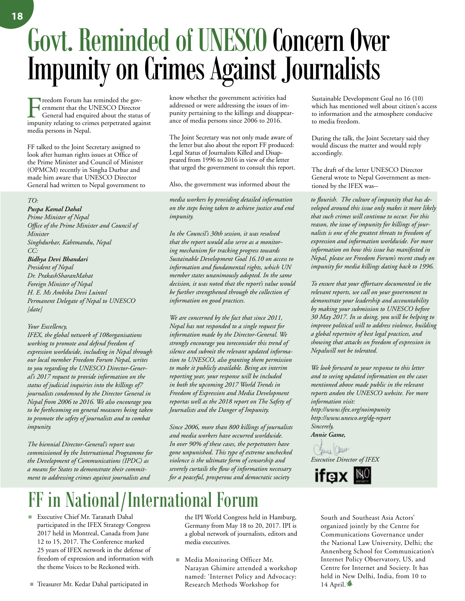## Govt. Reminded of UNESCO Concern Over Impunity on Crimes Against Journalists

Freedom Forum has reminded the government that the UNESCO Director General had enquired about the status of impunity relating to crimes perpetrated against media persons in Nepal.

FF talked to the Joint Secretary assigned to look after human rights issues at Office of the Prime Minister and Council of Minister (OPMCM) recently in Singha Durbar and made him aware that UNESCO Director General had written to Nepal government to

#### *TO:*

### *Puspa Kamal Dahal*

*Prime Minister of Nepal Office of the Prime Minister and Council of Minister Singhdurbar, Kahtmandu, Nepal CC:*

### *Bidhya Devi Bhandari*

*President of Nepal Dr. PrakashSharanMahat Foreign Minister of Nepal H. E. Ms Ambika Devi Luintel Permanent Delegate of Nepal to UNESCO [date]*

### *Your Excellency,*

*IFEX, the global network of 108organisations working to promote and defend freedom of expression worldwide, including in Nepal through our local member Freedom Forum Nepal, writes to you regarding the UNESCO Director-General's 2017 request to provide information on the status of judicial inquiries into the killings of7 journalists condemned by the Director General in Nepal from 2006 to 2016. We also encourage you to be forthcoming on general measures being taken to promote the safety of journalists and to combat impunity.*

*The biennial Director-General's report was commissioned by the International Programme for the Development of Communications (IPDC) as a means for States to demonstrate their commitment to addressing crimes against journalists and* 

know whether the government activities had addressed or were addressing the issues of impunity pertaining to the killings and disappearance of media persons since 2006 to 2016.

The Joint Secretary was not only made aware of the letter but also about the report FF produced: Legal Status of Journalists Killed and Disappeared from 1996 to 2016 in view of the letter that urged the government to consult this report.

Also, the government was informed about the

*media workers by providing detailed information on the steps being taken to achieve justice and end impunity.*

*In the Council's 30th session, it was resolved that the report would also serve as a monitoring mechanism for tracking progress towards Sustainable Development Goal 16.10 on access to information and fundamental rights, which UN member states unanimously adopted. In the same decision, it was noted that the report's value would be further strengthened through the collection of information on good practices.* 

*We are concerned by the fact that since 2011, Nepal has not responded to a single request for information made by the Director-General. We strongly encourage you toreconsider this trend of silence and submit the relevant updated information to UNESCO, also granting them permission to make it publicly available. Being an interim reporting year, your response will be included in both the upcoming 2017 World Trends in Freedom of Expression and Media Development reportas well as the 2018 report on The Safety of Journalists and the Danger of Impunity.*

*Since 2006, more than 800 killings of journalists and media workers have occurred worldwide. In over 90% of these cases, the perpetrators have gone unpunished. This type of extreme unchecked violence is the ultimate form of censorship and severely curtails the flow of information necessary for a peaceful, prosperous and democratic society* 

## FF in National/International Forum

■ Executive Chief Mr. Taranath Dahal participated in the IFEX Strategy Congress 2017 held in Montreal, Canada from June 12 to 15, 2017. The Conference marked 25 years of IFEX network in the defense of freedom of expression and information with the theme Voices to be Reckoned with.

■ Treasurer Mr. Kedar Dahal participated in

the IPI World Congress held in Hamburg, Germany from May 18 to 20, 2017. IPI is a global network of journalists, editors and media executives.

■ Media Monitoring Officer Mr. Narayan Ghimire attended a workshop named: 'Internet Policy and Advocacy: Research Methods Workshop for

Sustainable Development Goal no 16 (10) which has mentioned well about citizen's access to information and the atmosphere conducive to media freedom.

During the talk, the Joint Secretary said they would discuss the matter and would reply accordingly.

The draft of the letter UNESCO Director General wrote to Nepal Government as mentioned by the IFEX was--

*to flourish. The culture of impunity that has developed around this issue only makes it more likely that such crimes will continue to occur. For this reason, the issue of impunity for killings of journalists is one of the greatest threats to freedom of expression and information worldwide. For more information on how this issue has manifested in Nepal, please see Freedom Forum's recent study on impunity for media killings dating back to 1996.* 

*To ensure that your effortsare documented in the relevant reports, we call on your government to demonstrate your leadership and accountability by making your submission to UNESCO before 30 May 2017. In so doing, you will be helping to improve political will to address violence, building a global repertoire of best legal practices, and showing that attacks on freedom of expression in Nepalwill not be tolerated.* 

*We look forward to your response to this letter and to seeing updated information on the cases mentioned above made public in the relevant reports andon the UNESCO website. For more information visit: http://www.ifex.org/noimpunity http://www.unesco.org/dg-report*

*Sincerely, Annie Game,* 

June aue *Executive Director of IFEX*



South and Southeast Asia Actors' organized jointly by the Centre for Communications Governance under the National Law University, Delhi; the Annenberg School for Communication's Internet Policy Observatory, US, and Centre for Internet and Society. It has held in New Delhi, India, from 10 to 14 April. $\bullet$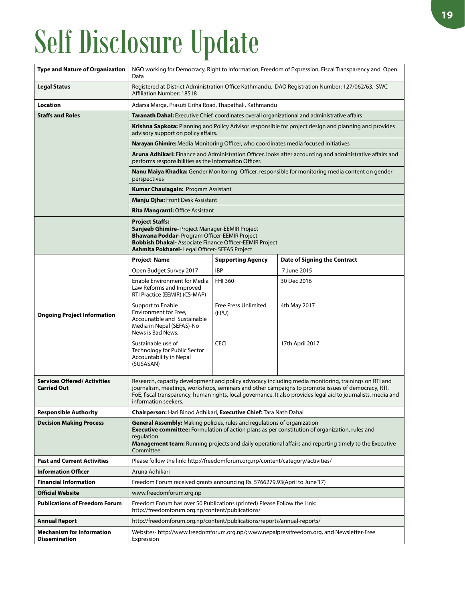# Self Disclosure Update

| <b>Type and Nature of Organization</b>                   | NGO working for Democracy, Right to Information, Freedom of Expression, Fiscal Transparency and Open<br>Data                                                                                                                                                                                                                                        |                                      |                                     |  |  |  |  |
|----------------------------------------------------------|-----------------------------------------------------------------------------------------------------------------------------------------------------------------------------------------------------------------------------------------------------------------------------------------------------------------------------------------------------|--------------------------------------|-------------------------------------|--|--|--|--|
| <b>Legal Status</b>                                      | Registered at District Administration Office Kathmandu. DAO Registration Number: 127/062/63, SWC<br>Affiliation Number: 18518                                                                                                                                                                                                                       |                                      |                                     |  |  |  |  |
| <b>Location</b>                                          | Adarsa Marga, Prasuti Griha Road, Thapathali, Kathmandu                                                                                                                                                                                                                                                                                             |                                      |                                     |  |  |  |  |
| <b>Staffs and Roles</b>                                  | Taranath Dahal: Executive Chief, coordinates overall organizational and administrative affairs                                                                                                                                                                                                                                                      |                                      |                                     |  |  |  |  |
|                                                          | Krishna Sapkota: Planning and Policy Advisor responsible for project design and planning and provides<br>advisory support on policy affairs.                                                                                                                                                                                                        |                                      |                                     |  |  |  |  |
|                                                          | Narayan Ghimire: Media Monitoring Officer, who coordinates media focused initiatives                                                                                                                                                                                                                                                                |                                      |                                     |  |  |  |  |
|                                                          | Aruna Adhikari: Finance and Administration Officer, looks after accounting and administrative affairs and<br>performs responsibilities as the Information Officer.                                                                                                                                                                                  |                                      |                                     |  |  |  |  |
|                                                          | Nanu Maiya Khadka: Gender Monitoring Officer, responsible for monitoring media content on gender<br>perspectives                                                                                                                                                                                                                                    |                                      |                                     |  |  |  |  |
|                                                          | <b>Kumar Chaulagain: Program Assistant</b>                                                                                                                                                                                                                                                                                                          |                                      |                                     |  |  |  |  |
|                                                          | <b>Manju Ojha: Front Desk Assistant</b>                                                                                                                                                                                                                                                                                                             |                                      |                                     |  |  |  |  |
|                                                          | <b>Rita Mangranti: Office Assistant</b>                                                                                                                                                                                                                                                                                                             |                                      |                                     |  |  |  |  |
|                                                          | <b>Project Staffs:</b><br>Sanjeeb Ghimire- Project Manager-EEMIR Project<br><b>Bhawana Poddar-</b> Program Officer-EEMIR Project<br><b>Bobbish Dhakal-Associate Finance Officer-EEMIR Project</b><br>Ashmita Pokharel- Legal Officer- SEFAS Project                                                                                                 |                                      |                                     |  |  |  |  |
|                                                          | <b>Project Name</b>                                                                                                                                                                                                                                                                                                                                 | <b>Supporting Agency</b>             | <b>Date of Signing the Contract</b> |  |  |  |  |
|                                                          | Open Budget Survey 2017                                                                                                                                                                                                                                                                                                                             | <b>IBP</b>                           | 7 June 2015                         |  |  |  |  |
|                                                          | <b>Enable Environment for Media</b><br>Law Reforms and Improved<br>RTI Practice (EEMIR) (CS-MAP)                                                                                                                                                                                                                                                    | <b>FHI 360</b>                       | 30 Dec 2016                         |  |  |  |  |
| <b>Ongoing Project Information</b>                       | Support to Enable<br>Environment for Free,<br>Accounatble and Sustainable<br>Media in Nepal (SEFAS)-No<br>News is Bad News.                                                                                                                                                                                                                         | <b>Free Press Unlimited</b><br>(FPU) | 4th May 2017                        |  |  |  |  |
|                                                          | Sustainable use of<br>Technology for Public Sector<br>Accountability in Nepal<br>(SUSASAN)                                                                                                                                                                                                                                                          | <b>CECI</b>                          | 17th April 2017                     |  |  |  |  |
| <b>Services Offered/Activities</b><br><b>Carried Out</b> | Research, capacity development and policy advocacy including media monitoring, trainings on RTI and<br>journalism, meetings, workshops, seminars and other campaigns to promote issues of democracy, RTI,<br>FoE, fiscal transparency, human rights, local governance. It also provides legal aid to journalists, media and<br>information seekers. |                                      |                                     |  |  |  |  |
| <b>Responsible Authority</b>                             | Chairperson: Hari Binod Adhikari, Executive Chief: Tara Nath Dahal                                                                                                                                                                                                                                                                                  |                                      |                                     |  |  |  |  |
| <b>Decision Making Process</b>                           | General Assembly: Making policies, rules and regulations of organization<br><b>Executive committee:</b> Formulation of action plans as per constitution of organization, rules and<br>regulation<br>Management team: Running projects and daily operational affairs and reporting timely to the Executive<br>Committee.                             |                                      |                                     |  |  |  |  |
| <b>Past and Current Activities</b>                       | Please follow the link: http://freedomforum.org.np/content/category/activities/                                                                                                                                                                                                                                                                     |                                      |                                     |  |  |  |  |
| <b>Information Officer</b>                               | Aruna Adhikari                                                                                                                                                                                                                                                                                                                                      |                                      |                                     |  |  |  |  |
| <b>Financial Information</b>                             | Freedom Forum received grants announcing Rs. 5766279.93 (April to June'17)                                                                                                                                                                                                                                                                          |                                      |                                     |  |  |  |  |
| <b>Official Website</b>                                  | www.freedomforum.org.np                                                                                                                                                                                                                                                                                                                             |                                      |                                     |  |  |  |  |
| <b>Publications of Freedom Forum</b>                     | Freedom Forum has over 50 Publications (printed) Please Follow the Link:<br>http://freedomforum.org.np/content/publications/                                                                                                                                                                                                                        |                                      |                                     |  |  |  |  |
| <b>Annual Report</b>                                     | http://freedomforum.org.np/content/publications/reports/annual-reports/                                                                                                                                                                                                                                                                             |                                      |                                     |  |  |  |  |
| <b>Mechanism for Information</b><br><b>Dissemination</b> | Websites- http://www.freedomforum.org.np/; www.nepalpressfreedom.org, and Newsletter-Free<br>Expression                                                                                                                                                                                                                                             |                                      |                                     |  |  |  |  |